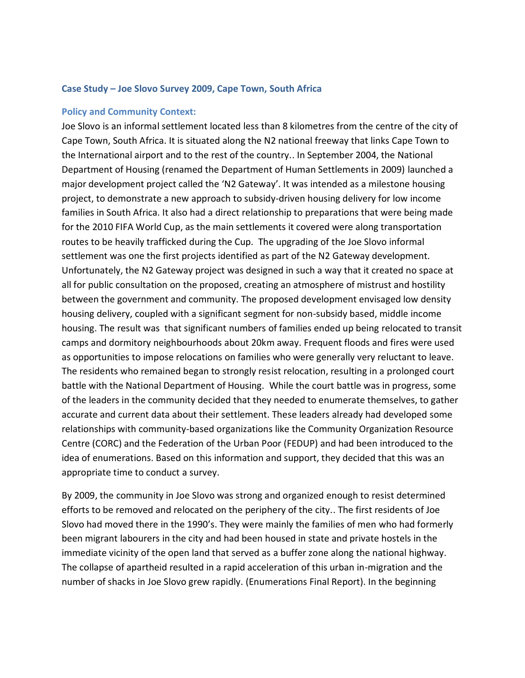### **Case Study – Joe Slovo Survey 2009, Cape Town, South Africa**

#### **Policy and Community Context:**

Joe Slovo is an informal settlement located less than 8 kilometres from the centre of the city of Cape Town, South Africa. It is situated along the N2 national freeway that links Cape Town to the International airport and to the rest of the country.. In September 2004, the National Department of Housing (renamed the Department of Human Settlements in 2009) launched a major development project called the 'N2 Gateway'. It was intended as a milestone housing project, to demonstrate a new approach to subsidy-driven housing delivery for low income families in South Africa. It also had a direct relationship to preparations that were being made for the 2010 FIFA World Cup, as the main settlements it covered were along transportation routes to be heavily trafficked during the Cup. The upgrading of the Joe Slovo informal settlement was one the first projects identified as part of the N2 Gateway development. Unfortunately, the N2 Gateway project was designed in such a way that it created no space at all for public consultation on the proposed, creating an atmosphere of mistrust and hostility between the government and community. The proposed development envisaged low density housing delivery, coupled with a significant segment for non-subsidy based, middle income housing. The result was that significant numbers of families ended up being relocated to transit camps and dormitory neighbourhoods about 20km away. Frequent floods and fires were used as opportunities to impose relocations on families who were generally very reluctant to leave. The residents who remained began to strongly resist relocation, resulting in a prolonged court battle with the National Department of Housing. While the court battle was in progress, some of the leaders in the community decided that they needed to enumerate themselves, to gather accurate and current data about their settlement. These leaders already had developed some relationships with community-based organizations like the Community Organization Resource Centre (CORC) and the Federation of the Urban Poor (FEDUP) and had been introduced to the idea of enumerations. Based on this information and support, they decided that this was an appropriate time to conduct a survey.

By 2009, the community in Joe Slovo was strong and organized enough to resist determined efforts to be removed and relocated on the periphery of the city.. The first residents of Joe Slovo had moved there in the 1990's. They were mainly the families of men who had formerly been migrant labourers in the city and had been housed in state and private hostels in the immediate vicinity of the open land that served as a buffer zone along the national highway. The collapse of apartheid resulted in a rapid acceleration of this urban in-migration and the number of shacks in Joe Slovo grew rapidly. (Enumerations Final Report). In the beginning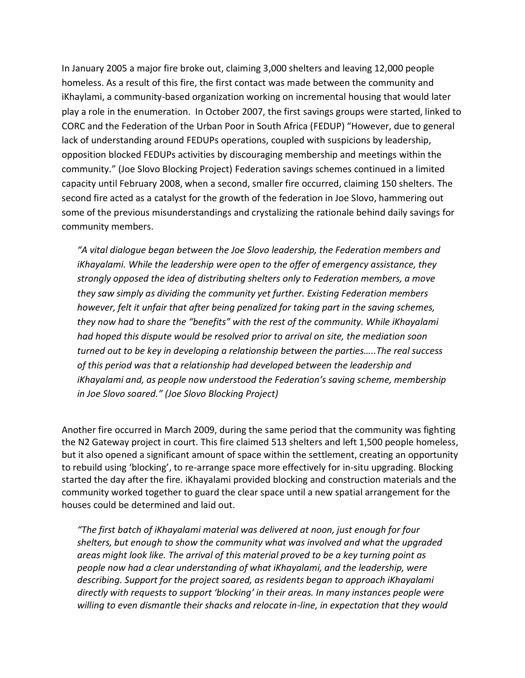In January 2005 a major fire broke out, claiming 3,000 shelters and leaving 12,000 people homeless. As a result of this fire, the first contact was made between the community and iKhaylami, a community-based organization working on incremental housing that would later play a role in the enumeration. In October 2007, the first savings groups were started, linked to CORC and the Federation of the Urban Poor in South Africa (FEDUP) "However, due to general lack of understanding around FEDUPs operations, coupled with suspicions by leadership, opposition blocked FEDUPs activities by discouraging membership and meetings within the community." (Joe Slovo Blocking Project) Federation savings schemes continued in a limited capacity until February 2008, when a second, smaller fire occurred, claiming 150 shelters. The second fire acted as a catalyst for the growth of the federation in Joe Slovo, hammering out some of the previous misunderstandings and crystalizing the rationale behind daily savings for community members.

*"A vital dialogue began between the Joe Slovo leadership, the Federation members and iKhayalami. While the leadership were open to the offer of emergency assistance, they strongly opposed the idea of distributing shelters only to Federation members, a move they saw simply as dividing the community yet further. Existing Federation members however, felt it unfair that after being penalized for taking part in the saving schemes, they now had to share the "benefits" with the rest of the community. While iKhayalami had hoped this dispute would be resolved prior to arrival on site, the mediation soon turned out to be key in developing a relationship between the parties…..The real success of this period was that a relationship had developed between the leadership and iKhayalami and, as people now understood the Federation's saving scheme, membership in Joe Slovo soared." (Joe Slovo Blocking Project)*

Another fire occurred in March 2009, during the same period that the community was fighting the N2 Gateway project in court. This fire claimed 513 shelters and left 1,500 people homeless, but it also opened a significant amount of space within the settlement, creating an opportunity to rebuild using 'blocking', to re-arrange space more effectively for in-situ upgrading. Blocking started the day after the fire. iKhayalami provided blocking and construction materials and the community worked together to guard the clear space until a new spatial arrangement for the houses could be determined and laid out.

*"The first batch of iKhayalami material was delivered at noon, just enough for four shelters, but enough to show the community what was involved and what the upgraded areas might look like. The arrival of this material proved to be a key turning point as people now had a clear understanding of what iKhayalami, and the leadership, were describing. Support for the project soared, as residents began to approach iKhayalami directly with requests to support 'blocking' in their areas. In many instances people were willing to even dismantle their shacks and relocate in-line, in expectation that they would*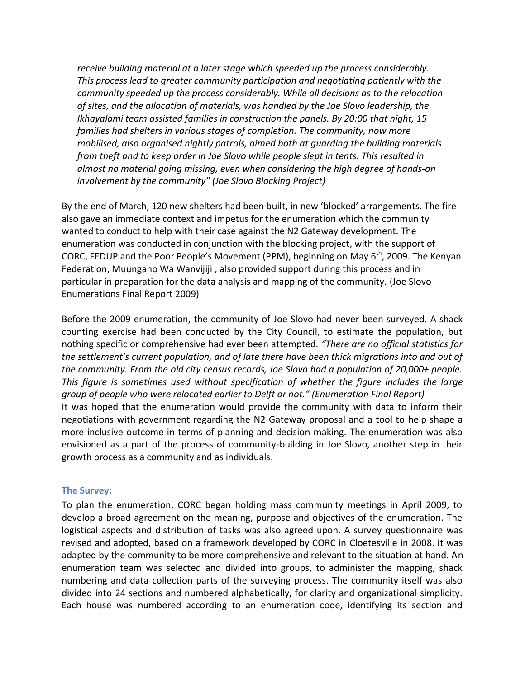*receive building material at a later stage which speeded up the process considerably. This process lead to greater community participation and negotiating patiently with the community speeded up the process considerably. While all decisions as to the relocation of sites, and the allocation of materials, was handled by the Joe Slovo leadership, the Ikhayalami team assisted families in construction the panels. By 20:00 that night, 15 families had shelters in various stages of completion. The community, now more mobilised, also organised nightly patrols, aimed both at guarding the building materials from theft and to keep order in Joe Slovo while people slept in tents. This resulted in almost no material going missing, even when considering the high degree of hands-on involvement by the community" (Joe Slovo Blocking Project)*

By the end of March, 120 new shelters had been built, in new 'blocked' arrangements. The fire also gave an immediate context and impetus for the enumeration which the community wanted to conduct to help with their case against the N2 Gateway development. The enumeration was conducted in conjunction with the blocking project, with the support of CORC, FEDUP and the Poor People's Movement (PPM), beginning on May 6<sup>th</sup>, 2009. The Kenyan Federation, Muungano Wa Wanvijiji , also provided support during this process and in particular in preparation for the data analysis and mapping of the community. (Joe Slovo Enumerations Final Report 2009)

Before the 2009 enumeration, the community of Joe Slovo had never been surveyed. A shack counting exercise had been conducted by the City Council, to estimate the population, but nothing specific or comprehensive had ever been attempted. *"There are no official statistics for the settlement's current population, and of late there have been thick migrations into and out of the community. From the old city census records, Joe Slovo had a population of 20,000+ people. This figure is sometimes used without specification of whether the figure includes the large group of people who were relocated earlier to Delft or not." (Enumeration Final Report)* It was hoped that the enumeration would provide the community with data to inform their negotiations with government regarding the N2 Gateway proposal and a tool to help shape a more inclusive outcome in terms of planning and decision making. The enumeration was also envisioned as a part of the process of community-building in Joe Slovo, another step in their growth process as a community and as individuals.

## **The Survey:**

To plan the enumeration, CORC began holding mass community meetings in April 2009, to develop a broad agreement on the meaning, purpose and objectives of the enumeration. The logistical aspects and distribution of tasks was also agreed upon. A survey questionnaire was revised and adopted, based on a framework developed by CORC in Cloetesville in 2008. It was adapted by the community to be more comprehensive and relevant to the situation at hand. An enumeration team was selected and divided into groups, to administer the mapping, shack numbering and data collection parts of the surveying process. The community itself was also divided into 24 sections and numbered alphabetically, for clarity and organizational simplicity. Each house was numbered according to an enumeration code, identifying its section and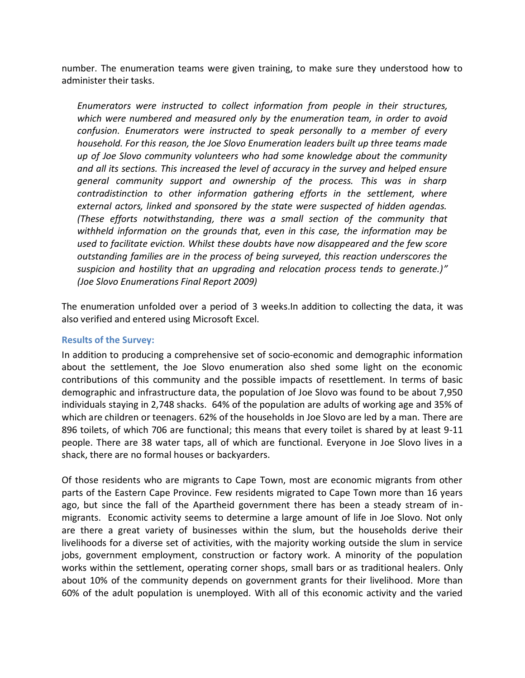number. The enumeration teams were given training, to make sure they understood how to administer their tasks.

*Enumerators were instructed to collect information from people in their structures, which were numbered and measured only by the enumeration team, in order to avoid confusion. Enumerators were instructed to speak personally to a member of every household. For this reason, the Joe Slovo Enumeration leaders built up three teams made up of Joe Slovo community volunteers who had some knowledge about the community and all its sections. This increased the level of accuracy in the survey and helped ensure general community support and ownership of the process. This was in sharp contradistinction to other information gathering efforts in the settlement, where external actors, linked and sponsored by the state were suspected of hidden agendas. (These efforts notwithstanding, there was a small section of the community that withheld information on the grounds that, even in this case, the information may be used to facilitate eviction. Whilst these doubts have now disappeared and the few score outstanding families are in the process of being surveyed, this reaction underscores the suspicion and hostility that an upgrading and relocation process tends to generate.)" (Joe Slovo Enumerations Final Report 2009)*

The enumeration unfolded over a period of 3 weeks.In addition to collecting the data, it was also verified and entered using Microsoft Excel.

## **Results of the Survey:**

In addition to producing a comprehensive set of socio-economic and demographic information about the settlement, the Joe Slovo enumeration also shed some light on the economic contributions of this community and the possible impacts of resettlement. In terms of basic demographic and infrastructure data, the population of Joe Slovo was found to be about 7,950 individuals staying in 2,748 shacks. 64% of the population are adults of working age and 35% of which are children or teenagers. 62% of the households in Joe Slovo are led by a man. There are 896 toilets, of which 706 are functional; this means that every toilet is shared by at least 9-11 people. There are 38 water taps, all of which are functional. Everyone in Joe Slovo lives in a shack, there are no formal houses or backyarders.

Of those residents who are migrants to Cape Town, most are economic migrants from other parts of the Eastern Cape Province. Few residents migrated to Cape Town more than 16 years ago, but since the fall of the Apartheid government there has been a steady stream of inmigrants. Economic activity seems to determine a large amount of life in Joe Slovo. Not only are there a great variety of businesses within the slum, but the households derive their livelihoods for a diverse set of activities, with the majority working outside the slum in service jobs, government employment, construction or factory work. A minority of the population works within the settlement, operating corner shops, small bars or as traditional healers. Only about 10% of the community depends on government grants for their livelihood. More than 60% of the adult population is unemployed. With all of this economic activity and the varied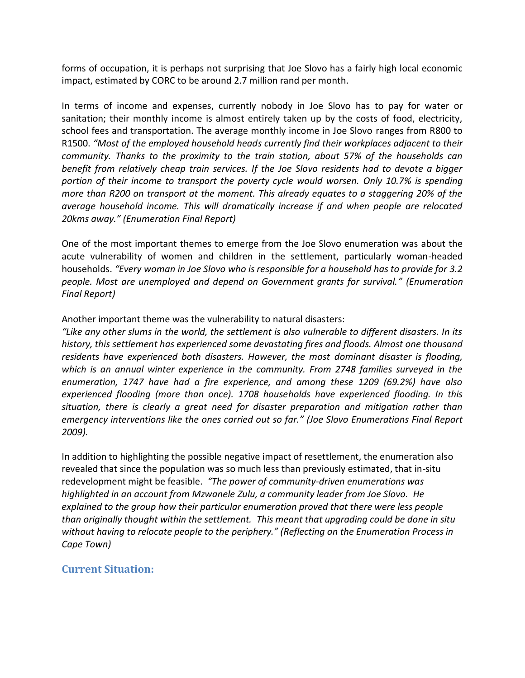forms of occupation, it is perhaps not surprising that Joe Slovo has a fairly high local economic impact, estimated by CORC to be around 2.7 million rand per month.

In terms of income and expenses, currently nobody in Joe Slovo has to pay for water or sanitation; their monthly income is almost entirely taken up by the costs of food, electricity, school fees and transportation. The average monthly income in Joe Slovo ranges from R800 to R1500. *"Most of the employed household heads currently find their workplaces adjacent to their community. Thanks to the proximity to the train station, about 57% of the households can benefit from relatively cheap train services. If the Joe Slovo residents had to devote a bigger portion of their income to transport the poverty cycle would worsen. Only 10.7% is spending more than R200 on transport at the moment. This already equates to a staggering 20% of the average household income. This will dramatically increase if and when people are relocated 20kms away." (Enumeration Final Report)*

One of the most important themes to emerge from the Joe Slovo enumeration was about the acute vulnerability of women and children in the settlement, particularly woman-headed households. *"Every woman in Joe Slovo who is responsible for a household has to provide for 3.2 people. Most are unemployed and depend on Government grants for survival." (Enumeration Final Report)*

Another important theme was the vulnerability to natural disasters:

*"Like any other slums in the world, the settlement is also vulnerable to different disasters. In its history, this settlement has experienced some devastating fires and floods. Almost one thousand residents have experienced both disasters. However, the most dominant disaster is flooding, which is an annual winter experience in the community. From 2748 families surveyed in the enumeration, 1747 have had a fire experience, and among these 1209 (69.2%) have also experienced flooding (more than once). 1708 households have experienced flooding. In this situation, there is clearly a great need for disaster preparation and mitigation rather than emergency interventions like the ones carried out so far." (Joe Slovo Enumerations Final Report 2009).* 

In addition to highlighting the possible negative impact of resettlement, the enumeration also revealed that since the population was so much less than previously estimated, that in-situ redevelopment might be feasible. *"The power of community-driven enumerations was highlighted in an account from Mzwanele Zulu, a community leader from Joe Slovo. He explained to the group how their particular enumeration proved that there were less people than originally thought within the settlement. This meant that upgrading could be done in situ without having to relocate people to the periphery." (Reflecting on the Enumeration Process in Cape Town)*

# **Current Situation:**